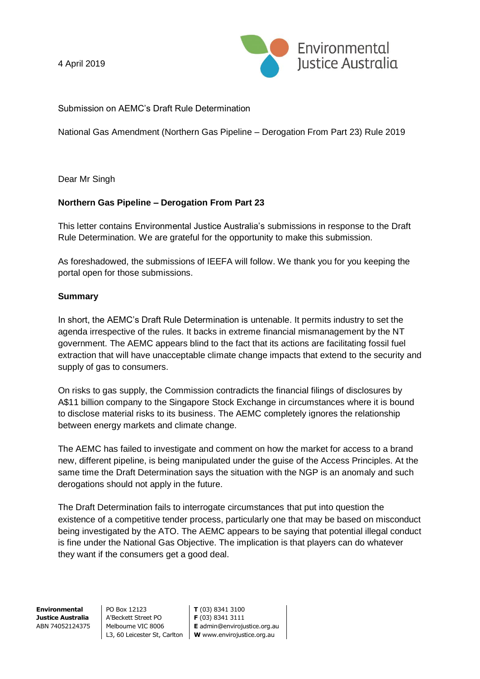4 April 2019



Submission on AEMC's Draft Rule Determination

National Gas Amendment (Northern Gas Pipeline – Derogation From Part 23) Rule 2019

Dear Mr Singh

### **Northern Gas Pipeline – Derogation From Part 23**

This letter contains Environmental Justice Australia's submissions in response to the Draft Rule Determination. We are grateful for the opportunity to make this submission.

As foreshadowed, the submissions of IEEFA will follow. We thank you for you keeping the portal open for those submissions.

#### **Summary**

In short, the AEMC's Draft Rule Determination is untenable. It permits industry to set the agenda irrespective of the rules. It backs in extreme financial mismanagement by the NT government. The AEMC appears blind to the fact that its actions are facilitating fossil fuel extraction that will have unacceptable climate change impacts that extend to the security and supply of gas to consumers.

On risks to gas supply, the Commission contradicts the financial filings of disclosures by A\$11 billion company to the Singapore Stock Exchange in circumstances where it is bound to disclose material risks to its business. The AEMC completely ignores the relationship between energy markets and climate change.

The AEMC has failed to investigate and comment on how the market for access to a brand new, different pipeline, is being manipulated under the guise of the Access Principles. At the same time the Draft Determination says the situation with the NGP is an anomaly and such derogations should not apply in the future.

The Draft Determination fails to interrogate circumstances that put into question the existence of a competitive tender process, particularly one that may be based on misconduct being investigated by the ATO. The AEMC appears to be saying that potential illegal conduct is fine under the National Gas Objective. The implication is that players can do whatever they want if the consumers get a good deal.

**Environmental Justice Australia** ABN 74052124375 PO Box 12123 A'Beckett Street PO Melbourne VIC 8006

L3, 60 Leicester St, Carlton **W** www.envirojustice.org.au **T** (03) 8341 3100 **F** (03) 8341 3111 **E** admin@envirojustice.org.au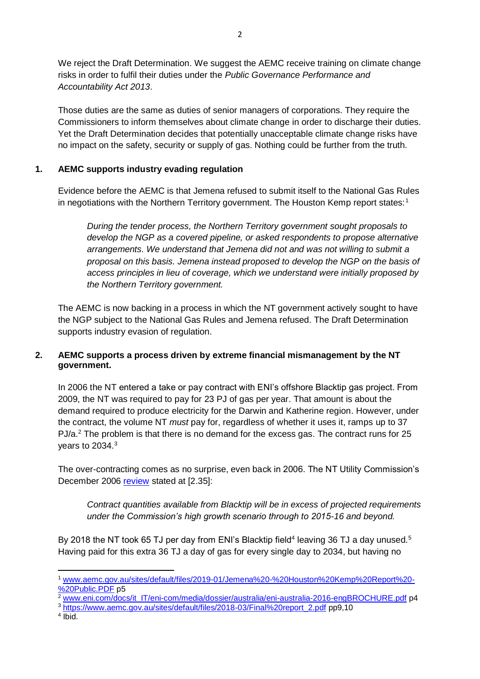We reject the Draft Determination. We suggest the AEMC receive training on climate change risks in order to fulfil their duties under the *Public Governance Performance and Accountability Act 2013*.

Those duties are the same as duties of senior managers of corporations. They require the Commissioners to inform themselves about climate change in order to discharge their duties. Yet the Draft Determination decides that potentially unacceptable climate change risks have no impact on the safety, security or supply of gas. Nothing could be further from the truth.

# **1. AEMC supports industry evading regulation**

Evidence before the AEMC is that Jemena refused to submit itself to the National Gas Rules in negotiations with the Northern Territory government. The Houston Kemp report states:<sup>1</sup>

*During the tender process, the Northern Territory government sought proposals to develop the NGP as a covered pipeline, or asked respondents to propose alternative arrangements. We understand that Jemena did not and was not willing to submit a proposal on this basis. Jemena instead proposed to develop the NGP on the basis of access principles in lieu of coverage, which we understand were initially proposed by the Northern Territory government.*

The AEMC is now backing in a process in which the NT government actively sought to have the NGP subject to the National Gas Rules and Jemena refused. The Draft Determination supports industry evasion of regulation.

### **2. AEMC supports a process driven by extreme financial mismanagement by the NT government.**

In 2006 the NT entered a take or pay contract with ENI's offshore Blacktip gas project. From 2009, the NT was required to pay for 23 PJ of gas per year. That amount is about the demand required to produce electricity for the Darwin and Katherine region. However, under the contract, the volume NT *must* pay for, regardless of whether it uses it, ramps up to 37 PJ/ $a^2$  The problem is that there is no demand for the excess gas. The contract runs for 25 years to 2034.<sup>3</sup>

The over-contracting comes as no surprise, even back in 2006. The NT Utility Commission's December 2006 [review](http://www.utilicom.nt.gov.au/PMS/Publications/2006_PSR_final.pdf) stated at [2.35]:

*Contract quantities available from Blacktip will be in excess of projected requirements under the Commission's high growth scenario through to 2015-16 and beyond.*

By 2018 the NT took 65 TJ per day from ENI's Blacktip field<sup>4</sup> leaving 36 TJ a day unused.<sup>5</sup> Having paid for this extra 36 TJ a day of gas for every single day to 2034, but having no

<sup>2</sup> [www.eni.com/docs/it\\_IT/eni-com/media/dossier/australia/eni-australia-2016-engBROCHURE.pdf](http://www.eni.com/docs/it_IT/eni-com/media/dossier/australia/eni-australia-2016-engBROCHURE.pdf) p4

<sup>3</sup> [https://www.aemc.gov.au/sites/default/files/2018-03/Final%20report\\_2.pdf](https://www.aemc.gov.au/sites/default/files/2018-03/Final%20report_2.pdf) pp9,10

4 Ibid.

<sup>1</sup> [www.aemc.gov.au/sites/default/files/2019-01/Jemena%20-%20Houston%20Kemp%20Report%20-](http://www.aemc.gov.au/sites/default/files/2019-01/Jemena%20-%20Houston%20Kemp%20Report%20-%20Public.PDF) [%20Public.PDF](http://www.aemc.gov.au/sites/default/files/2019-01/Jemena%20-%20Houston%20Kemp%20Report%20-%20Public.PDF) p5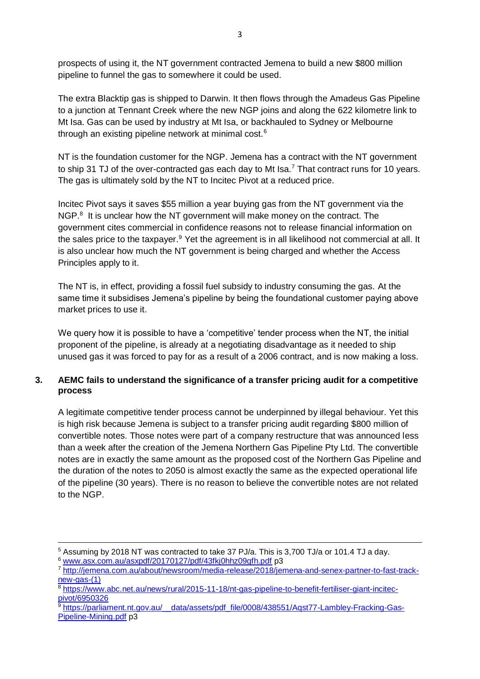prospects of using it, the NT government contracted Jemena to build a new \$800 million pipeline to funnel the gas to somewhere it could be used.

The extra Blacktip gas is shipped to Darwin. It then flows through the Amadeus Gas Pipeline to a junction at Tennant Creek where the new NGP joins and along the 622 kilometre link to Mt Isa. Gas can be used by industry at Mt Isa, or backhauled to Sydney or Melbourne through an existing pipeline network at minimal cost.<sup>6</sup>

NT is the foundation customer for the NGP. Jemena has a contract with the NT government to ship 31 TJ of the over-contracted gas each day to Mt Isa.<sup>7</sup> That contract runs for 10 years. The gas is ultimately sold by the NT to Incitec Pivot at a reduced price.

Incitec Pivot says it saves \$55 million a year buying gas from the NT government via the NGP.<sup>8</sup> It is unclear how the NT government will make money on the contract. The government cites commercial in confidence reasons not to release financial information on the sales price to the taxpayer.<sup>9</sup> Yet the agreement is in all likelihood not commercial at all. It is also unclear how much the NT government is being charged and whether the Access Principles apply to it.

The NT is, in effect, providing a fossil fuel subsidy to industry consuming the gas. At the same time it subsidises Jemena's pipeline by being the foundational customer paying above market prices to use it.

We query how it is possible to have a 'competitive' tender process when the NT, the initial proponent of the pipeline, is already at a negotiating disadvantage as it needed to ship unused gas it was forced to pay for as a result of a 2006 contract, and is now making a loss.

## **3. AEMC fails to understand the significance of a transfer pricing audit for a competitive process**

A legitimate competitive tender process cannot be underpinned by illegal behaviour. Yet this is high risk because Jemena is subject to a transfer pricing audit regarding \$800 million of convertible notes. Those notes were part of a company restructure that was announced less than a week after the creation of the Jemena Northern Gas Pipeline Pty Ltd. The convertible notes are in exactly the same amount as the proposed cost of the Northern Gas Pipeline and the duration of the notes to 2050 is almost exactly the same as the expected operational life of the pipeline (30 years). There is no reason to believe the convertible notes are not related to the NGP.

<sup>5</sup> Assuming by 2018 NT was contracted to take 37 PJ/a. This is 3,700 TJ/a or 101.4 TJ a day.

<sup>6</sup> [www.asx.com.au/asxpdf/20170127/pdf/43fkj0hhz09gfh.pdf](http://www.asx.com.au/asxpdf/20170127/pdf/43fkj0hhz09gfh.pdf) p3

<sup>7</sup> [http://jemena.com.au/about/newsroom/media-release/2018/jemena-and-senex-partner-to-fast-track](http://jemena.com.au/about/newsroom/media-release/2018/jemena-and-senex-partner-to-fast-track-new-gas-(1))[new-gas-\(1\)](http://jemena.com.au/about/newsroom/media-release/2018/jemena-and-senex-partner-to-fast-track-new-gas-(1))

<sup>8</sup> [https://www.abc.net.au/news/rural/2015-11-18/nt-gas-pipeline-to-benefit-fertiliser-giant-incitec](https://www.abc.net.au/news/rural/2015-11-18/nt-gas-pipeline-to-benefit-fertiliser-giant-incitec-pivot/6950326)[pivot/6950326](https://www.abc.net.au/news/rural/2015-11-18/nt-gas-pipeline-to-benefit-fertiliser-giant-incitec-pivot/6950326)

 $\frac{9}{9}$ https://parliament.nt.gov.au/ data/assets/pdf file/0008/438551/Aqst77-Lambley-Fracking-Gas-[Pipeline-Mining.pdf](https://parliament.nt.gov.au/__data/assets/pdf_file/0008/438551/Aqst77-Lambley-Fracking-Gas-Pipeline-Mining.pdf) p3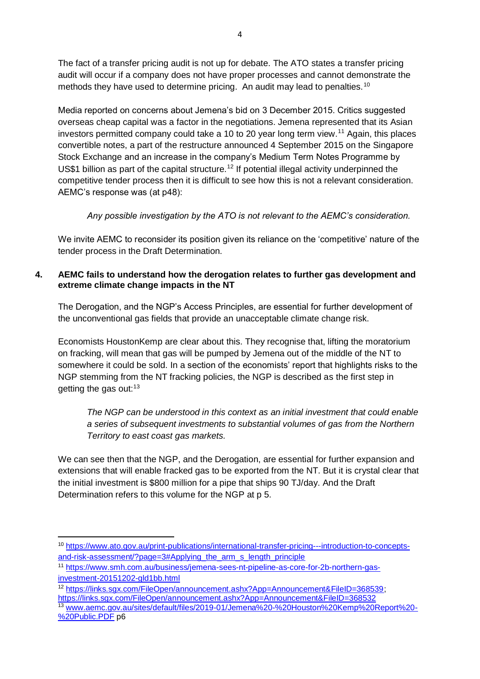The fact of a transfer pricing audit is not up for debate. The ATO states a transfer pricing audit will occur if a company does not have proper processes and cannot demonstrate the methods they have used to determine pricing. An audit may lead to penalties.<sup>10</sup>

Media reported on concerns about Jemena's bid on 3 December 2015. Critics suggested overseas cheap capital was a factor in the negotiations. Jemena represented that its Asian investors permitted company could take a 10 to 20 year long term view.<sup>11</sup> Again, this places convertible notes, a part of the restructure announced 4 September 2015 on the Singapore Stock Exchange and an increase in the company's Medium Term Notes Programme by US\$1 billion as part of the capital structure.<sup>12</sup> If potential illegal activity underpinned the competitive tender process then it is difficult to see how this is not a relevant consideration. AEMC's response was (at p48):

*Any possible investigation by the ATO is not relevant to the AEMC's consideration.* 

We invite AEMC to reconsider its position given its reliance on the 'competitive' nature of the tender process in the Draft Determination.

## **4. AEMC fails to understand how the derogation relates to further gas development and extreme climate change impacts in the NT**

The Derogation, and the NGP's Access Principles, are essential for further development of the unconventional gas fields that provide an unacceptable climate change risk.

Economists HoustonKemp are clear about this. They recognise that, lifting the moratorium on fracking, will mean that gas will be pumped by Jemena out of the middle of the NT to somewhere it could be sold. In a section of the economists' report that highlights risks to the NGP stemming from the NT fracking policies, the NGP is described as the first step in getting the gas out: $13$ 

*The NGP can be understood in this context as an initial investment that could enable a series of subsequent investments to substantial volumes of gas from the Northern Territory to east coast gas markets.*

We can see then that the NGP, and the Derogation, are essential for further expansion and extensions that will enable fracked gas to be exported from the NT. But it is crystal clear that the initial investment is \$800 million for a pipe that ships 90 TJ/day. And the Draft Determination refers to this volume for the NGP at p 5.

<sup>.</sup> <sup>10</sup> [https://www.ato.gov.au/print-publications/international-transfer-pricing---introduction-to-concepts](https://www.ato.gov.au/print-publications/international-transfer-pricing---introduction-to-concepts-and-risk-assessment/?page=3#Applying_the_arm_s_length_principle)[and-risk-assessment/?page=3#Applying\\_the\\_arm\\_s\\_length\\_principle](https://www.ato.gov.au/print-publications/international-transfer-pricing---introduction-to-concepts-and-risk-assessment/?page=3#Applying_the_arm_s_length_principle)

<sup>11</sup> [https://www.smh.com.au/business/jemena-sees-nt-pipeline-as-core-for-2b-northern-gas](https://www.smh.com.au/business/jemena-sees-nt-pipeline-as-core-for-2b-northern-gas-investment-20151202-gld1bb.html)[investment-20151202-gld1bb.html](https://www.smh.com.au/business/jemena-sees-nt-pipeline-as-core-for-2b-northern-gas-investment-20151202-gld1bb.html)

<sup>12</sup> [https://links.sgx.com/FileOpen/announcement.ashx?App=Announcement&FileID=368539;](https://links.sgx.com/FileOpen/announcement.ashx?App=Announcement&FileID=368539) <https://links.sgx.com/FileOpen/announcement.ashx?App=Announcement&FileID=368532> <sup>13</sup> [www.aemc.gov.au/sites/default/files/2019-01/Jemena%20-%20Houston%20Kemp%20Report%20-](http://www.aemc.gov.au/sites/default/files/2019-01/Jemena%20-%20Houston%20Kemp%20Report%20-%20Public.PDF)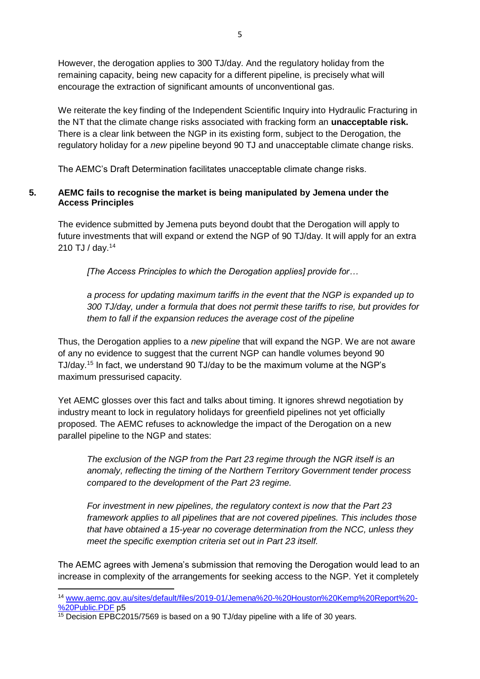However, the derogation applies to 300 TJ/day. And the regulatory holiday from the remaining capacity, being new capacity for a different pipeline, is precisely what will encourage the extraction of significant amounts of unconventional gas.

We reiterate the key finding of the Independent Scientific Inquiry into Hydraulic Fracturing in the NT that the climate change risks associated with fracking form an **unacceptable risk.**  There is a clear link between the NGP in its existing form, subject to the Derogation, the regulatory holiday for a *new* pipeline beyond 90 TJ and unacceptable climate change risks.

The AEMC's Draft Determination facilitates unacceptable climate change risks.

#### **5. AEMC fails to recognise the market is being manipulated by Jemena under the Access Principles**

The evidence submitted by Jemena puts beyond doubt that the Derogation will apply to future investments that will expand or extend the NGP of 90 TJ/day. It will apply for an extra 210 TJ / day.<sup>14</sup>

*[The Access Principles to which the Derogation applies] provide for…*

*a process for updating maximum tariffs in the event that the NGP is expanded up to 300 TJ/day, under a formula that does not permit these tariffs to rise, but provides for them to fall if the expansion reduces the average cost of the pipeline*

Thus, the Derogation applies to a *new pipeline* that will expand the NGP. We are not aware of any no evidence to suggest that the current NGP can handle volumes beyond 90 TJ/day.<sup>15</sup> In fact, we understand 90 TJ/day to be the maximum volume at the NGP's maximum pressurised capacity.

Yet AEMC glosses over this fact and talks about timing. It ignores shrewd negotiation by industry meant to lock in regulatory holidays for greenfield pipelines not yet officially proposed. The AEMC refuses to acknowledge the impact of the Derogation on a new parallel pipeline to the NGP and states:

*The exclusion of the NGP from the Part 23 regime through the NGR itself is an anomaly, reflecting the timing of the Northern Territory Government tender process compared to the development of the Part 23 regime.* 

*For investment in new pipelines, the regulatory context is now that the Part 23 framework applies to all pipelines that are not covered pipelines. This includes those that have obtained a 15-year no coverage determination from the NCC, unless they meet the specific exemption criteria set out in Part 23 itself.*

The AEMC agrees with Jemena's submission that removing the Derogation would lead to an increase in complexity of the arrangements for seeking access to the NGP. Yet it completely

<sup>14</sup> [www.aemc.gov.au/sites/default/files/2019-01/Jemena%20-%20Houston%20Kemp%20Report%20-](http://www.aemc.gov.au/sites/default/files/2019-01/Jemena%20-%20Houston%20Kemp%20Report%20-%20Public.PDF) [%20Public.PDF](http://www.aemc.gov.au/sites/default/files/2019-01/Jemena%20-%20Houston%20Kemp%20Report%20-%20Public.PDF) p5

<sup>&</sup>lt;sup>15</sup> Decision EPBC2015/7569 is based on a 90 TJ/day pipeline with a life of 30 years.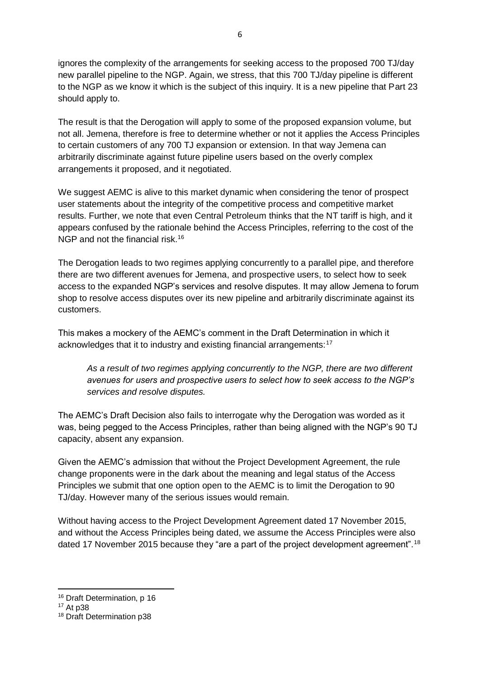ignores the complexity of the arrangements for seeking access to the proposed 700 TJ/day new parallel pipeline to the NGP. Again, we stress, that this 700 TJ/day pipeline is different to the NGP as we know it which is the subject of this inquiry. It is a new pipeline that Part 23 should apply to.

The result is that the Derogation will apply to some of the proposed expansion volume, but not all. Jemena, therefore is free to determine whether or not it applies the Access Principles to certain customers of any 700 TJ expansion or extension. In that way Jemena can arbitrarily discriminate against future pipeline users based on the overly complex arrangements it proposed, and it negotiated.

We suggest AEMC is alive to this market dynamic when considering the tenor of prospect user statements about the integrity of the competitive process and competitive market results. Further, we note that even Central Petroleum thinks that the NT tariff is high, and it appears confused by the rationale behind the Access Principles, referring to the cost of the NGP and not the financial risk.<sup>16</sup>

The Derogation leads to two regimes applying concurrently to a parallel pipe, and therefore there are two different avenues for Jemena, and prospective users, to select how to seek access to the expanded NGP's services and resolve disputes. It may allow Jemena to forum shop to resolve access disputes over its new pipeline and arbitrarily discriminate against its customers.

This makes a mockery of the AEMC's comment in the Draft Determination in which it acknowledges that it to industry and existing financial arrangements:<sup>17</sup>

*As a result of two regimes applying concurrently to the NGP, there are two different avenues for users and prospective users to select how to seek access to the NGP's services and resolve disputes.*

The AEMC's Draft Decision also fails to interrogate why the Derogation was worded as it was, being pegged to the Access Principles, rather than being aligned with the NGP's 90 TJ capacity, absent any expansion.

Given the AEMC's admission that without the Project Development Agreement, the rule change proponents were in the dark about the meaning and legal status of the Access Principles we submit that one option open to the AEMC is to limit the Derogation to 90 TJ/day. However many of the serious issues would remain.

Without having access to the Project Development Agreement dated 17 November 2015, and without the Access Principles being dated, we assume the Access Principles were also dated 17 November 2015 because they "are a part of the project development agreement".<sup>18</sup>

<sup>16</sup> Draft Determination, p 16

<sup>17</sup> At p38

<sup>18</sup> Draft Determination p38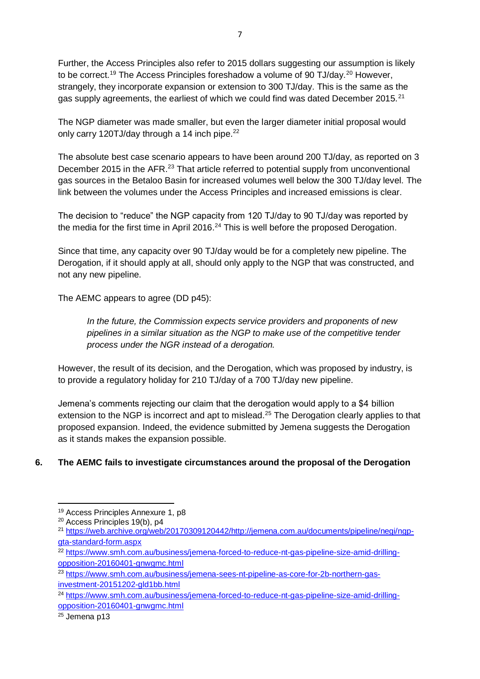Further, the Access Principles also refer to 2015 dollars suggesting our assumption is likely to be correct.<sup>19</sup> The Access Principles foreshadow a volume of 90 TJ/day.<sup>20</sup> However, strangely, they incorporate expansion or extension to 300 TJ/day. This is the same as the gas supply agreements, the earliest of which we could find was dated December 2015.<sup>21</sup>

The NGP diameter was made smaller, but even the larger diameter initial proposal would only carry 120TJ/day through a 14 inch pipe.<sup>22</sup>

The absolute best case scenario appears to have been around 200 TJ/day, as reported on 3 December 2015 in the AFR.<sup>23</sup> That article referred to potential supply from unconventional gas sources in the Betaloo Basin for increased volumes well below the 300 TJ/day level. The link between the volumes under the Access Principles and increased emissions is clear.

The decision to "reduce" the NGP capacity from 120 TJ/day to 90 TJ/day was reported by the media for the first time in April 2016. $24$  This is well before the proposed Derogation.

Since that time, any capacity over 90 TJ/day would be for a completely new pipeline. The Derogation, if it should apply at all, should only apply to the NGP that was constructed, and not any new pipeline.

The AEMC appears to agree (DD p45):

*In the future, the Commission expects service providers and proponents of new pipelines in a similar situation as the NGP to make use of the competitive tender process under the NGR instead of a derogation.*

However, the result of its decision, and the Derogation, which was proposed by industry, is to provide a regulatory holiday for 210 TJ/day of a 700 TJ/day new pipeline.

Jemena's comments rejecting our claim that the derogation would apply to a \$4 billion extension to the NGP is incorrect and apt to mislead.<sup>25</sup> The Derogation clearly applies to that proposed expansion. Indeed, the evidence submitted by Jemena suggests the Derogation as it stands makes the expansion possible.

## **6. The AEMC fails to investigate circumstances around the proposal of the Derogation**

<sup>25</sup> Jemena p13

<sup>19</sup> Access Principles Annexure 1, p8

<sup>20</sup> Access Principles 19(b), p4

<sup>21</sup> [https://web.archive.org/web/20170309120442/http://jemena.com.au/documents/pipeline/negi/ngp](https://web.archive.org/web/20170309120442/http:/jemena.com.au/documents/pipeline/negi/ngp-gta-standard-form.aspx)[gta-standard-form.aspx](https://web.archive.org/web/20170309120442/http:/jemena.com.au/documents/pipeline/negi/ngp-gta-standard-form.aspx)

<sup>&</sup>lt;sup>22</sup> [https://www.smh.com.au/business/jemena-forced-to-reduce-nt-gas-pipeline-size-amid-drilling](https://www.smh.com.au/business/jemena-forced-to-reduce-nt-gas-pipeline-size-amid-drilling-opposition-20160401-gnwgmc.html)[opposition-20160401-gnwgmc.html](https://www.smh.com.au/business/jemena-forced-to-reduce-nt-gas-pipeline-size-amid-drilling-opposition-20160401-gnwgmc.html)

<sup>&</sup>lt;sup>23</sup> [https://www.smh.com.au/business/jemena-sees-nt-pipeline-as-core-for-2b-northern-gas](https://www.smh.com.au/business/jemena-sees-nt-pipeline-as-core-for-2b-northern-gas-investment-20151202-gld1bb.html)[investment-20151202-gld1bb.html](https://www.smh.com.au/business/jemena-sees-nt-pipeline-as-core-for-2b-northern-gas-investment-20151202-gld1bb.html)

<sup>24</sup> [https://www.smh.com.au/business/jemena-forced-to-reduce-nt-gas-pipeline-size-amid-drilling](https://www.smh.com.au/business/jemena-forced-to-reduce-nt-gas-pipeline-size-amid-drilling-opposition-20160401-gnwgmc.html)[opposition-20160401-gnwgmc.html](https://www.smh.com.au/business/jemena-forced-to-reduce-nt-gas-pipeline-size-amid-drilling-opposition-20160401-gnwgmc.html)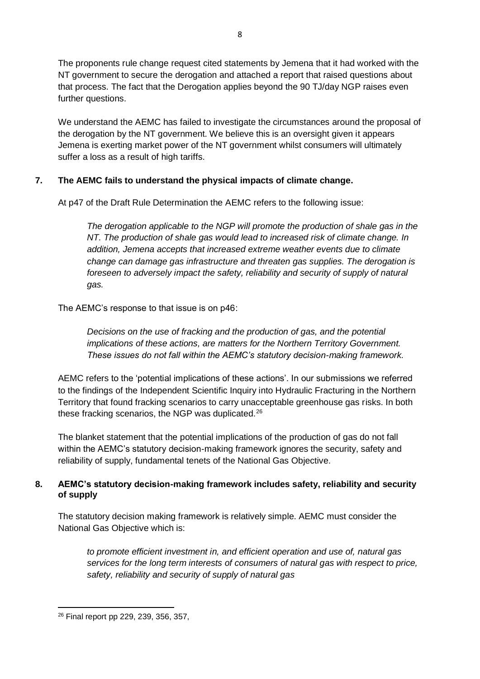The proponents rule change request cited statements by Jemena that it had worked with the NT government to secure the derogation and attached a report that raised questions about that process. The fact that the Derogation applies beyond the 90 TJ/day NGP raises even further questions.

We understand the AEMC has failed to investigate the circumstances around the proposal of the derogation by the NT government. We believe this is an oversight given it appears Jemena is exerting market power of the NT government whilst consumers will ultimately suffer a loss as a result of high tariffs.

# **7. The AEMC fails to understand the physical impacts of climate change.**

At p47 of the Draft Rule Determination the AEMC refers to the following issue:

*The derogation applicable to the NGP will promote the production of shale gas in the NT. The production of shale gas would lead to increased risk of climate change. In addition, Jemena accepts that increased extreme weather events due to climate change can damage gas infrastructure and threaten gas supplies. The derogation is foreseen to adversely impact the safety, reliability and security of supply of natural gas.*

The AEMC's response to that issue is on p46:

*Decisions on the use of fracking and the production of gas, and the potential implications of these actions, are matters for the Northern Territory Government. These issues do not fall within the AEMC's statutory decision-making framework.*

AEMC refers to the 'potential implications of these actions'. In our submissions we referred to the findings of the Independent Scientific Inquiry into Hydraulic Fracturing in the Northern Territory that found fracking scenarios to carry unacceptable greenhouse gas risks. In both these fracking scenarios, the NGP was duplicated.<sup>26</sup>

The blanket statement that the potential implications of the production of gas do not fall within the AEMC's statutory decision-making framework ignores the security, safety and reliability of supply, fundamental tenets of the National Gas Objective.

## **8. AEMC's statutory decision-making framework includes safety, reliability and security of supply**

The statutory decision making framework is relatively simple. AEMC must consider the National Gas Objective which is:

*to promote efficient investment in, and efficient operation and use of, natural gas services for the long term interests of consumers of natural gas with respect to price, safety, reliability and security of supply of natural gas*

<sup>26</sup> Final report pp 229, 239, 356, 357,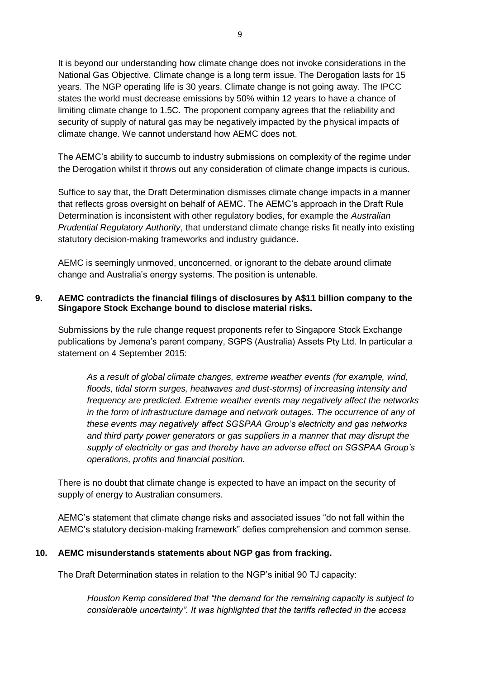It is beyond our understanding how climate change does not invoke considerations in the National Gas Objective. Climate change is a long term issue. The Derogation lasts for 15 years. The NGP operating life is 30 years. Climate change is not going away. The IPCC states the world must decrease emissions by 50% within 12 years to have a chance of limiting climate change to 1.5C. The proponent company agrees that the reliability and security of supply of natural gas may be negatively impacted by the physical impacts of climate change. We cannot understand how AEMC does not.

The AEMC's ability to succumb to industry submissions on complexity of the regime under the Derogation whilst it throws out any consideration of climate change impacts is curious.

Suffice to say that, the Draft Determination dismisses climate change impacts in a manner that reflects gross oversight on behalf of AEMC. The AEMC's approach in the Draft Rule Determination is inconsistent with other regulatory bodies, for example the *Australian Prudential Regulatory Authority*, that understand climate change risks fit neatly into existing statutory decision-making frameworks and industry guidance.

AEMC is seemingly unmoved, unconcerned, or ignorant to the debate around climate change and Australia's energy systems. The position is untenable.

#### **9. AEMC contradicts the financial filings of disclosures by A\$11 billion company to the Singapore Stock Exchange bound to disclose material risks.**

Submissions by the rule change request proponents refer to Singapore Stock Exchange publications by Jemena's parent company, SGPS (Australia) Assets Pty Ltd. In particular a statement on 4 September 2015:

*As a result of global climate changes, extreme weather events (for example, wind, floods, tidal storm surges, heatwaves and dust-storms) of increasing intensity and frequency are predicted. Extreme weather events may negatively affect the networks in the form of infrastructure damage and network outages. The occurrence of any of these events may negatively affect SGSPAA Group's electricity and gas networks and third party power generators or gas suppliers in a manner that may disrupt the supply of electricity or gas and thereby have an adverse effect on SGSPAA Group's operations, profits and financial position.*

There is no doubt that climate change is expected to have an impact on the security of supply of energy to Australian consumers.

AEMC's statement that climate change risks and associated issues "do not fall within the AEMC's statutory decision-making framework" defies comprehension and common sense.

#### **10. AEMC misunderstands statements about NGP gas from fracking.**

The Draft Determination states in relation to the NGP's initial 90 TJ capacity:

*Houston Kemp considered that "the demand for the remaining capacity is subject to considerable uncertainty". It was highlighted that the tariffs reflected in the access*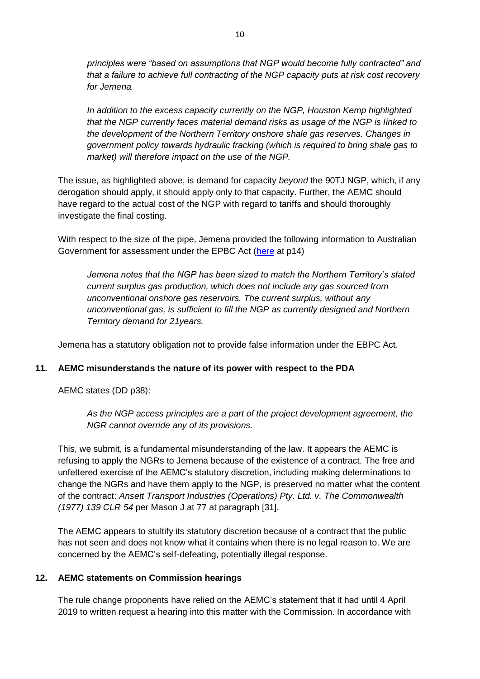*principles were "based on assumptions that NGP would become fully contracted" and that a failure to achieve full contracting of the NGP capacity puts at risk cost recovery for Jemena.* 

*In addition to the excess capacity currently on the NGP, Houston Kemp highlighted that the NGP currently faces material demand risks as usage of the NGP is linked to the development of the Northern Territory onshore shale gas reserves. Changes in government policy towards hydraulic fracking (which is required to bring shale gas to market) will therefore impact on the use of the NGP.* 

The issue, as highlighted above, is demand for capacity *beyond* the 90TJ NGP, which, if any derogation should apply, it should apply only to that capacity. Further, the AEMC should have regard to the actual cost of the NGP with regard to tariffs and should thoroughly investigate the final costing.

With respect to the size of the pipe, Jemena provided the following information to Australian Government for assessment under the EPBC Act [\(here](http://jemena.com.au/documents/pipeline/negi/per/jemena-ngp-supplement-main-document-final-7dec16) at p14)

*Jemena notes that the NGP has been sized to match the Northern Territory's stated current surplus gas production, which does not include any gas sourced from unconventional onshore gas reservoirs. The current surplus, without any unconventional gas, is sufficient to fill the NGP as currently designed and Northern Territory demand for 21years.*

Jemena has a statutory obligation not to provide false information under the EBPC Act.

#### **11. AEMC misunderstands the nature of its power with respect to the PDA**

AEMC states (DD p38):

*As the NGP access principles are a part of the project development agreement, the NGR cannot override any of its provisions.*

This, we submit, is a fundamental misunderstanding of the law. It appears the AEMC is refusing to apply the NGRs to Jemena because of the existence of a contract. The free and unfettered exercise of the AEMC's statutory discretion, including making determinations to change the NGRs and have them apply to the NGP, is preserved no matter what the content of the contract: *Ansett Transport Industries (Operations) Pty. Ltd. v. The Commonwealth (1977) 139 CLR 54* per Mason J at 77 at paragraph [31].

The AEMC appears to stultify its statutory discretion because of a contract that the public has not seen and does not know what it contains when there is no legal reason to. We are concerned by the AEMC's self-defeating, potentially illegal response.

#### **12. AEMC statements on Commission hearings**

The rule change proponents have relied on the AEMC's statement that it had until 4 April 2019 to written request a hearing into this matter with the Commission. In accordance with